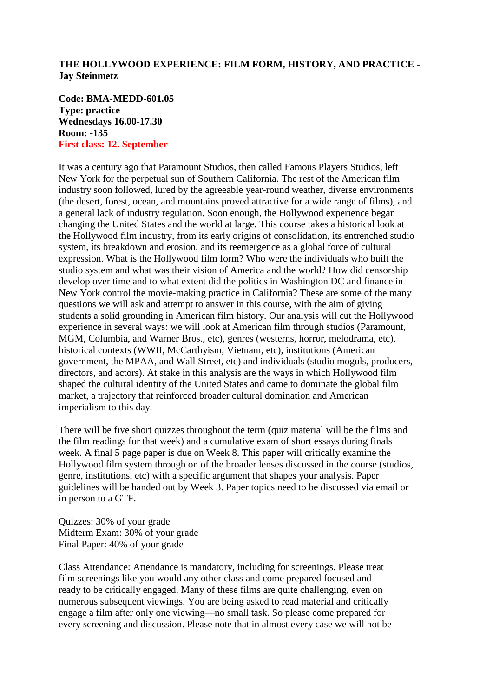# **THE HOLLYWOOD EXPERIENCE: FILM FORM, HISTORY, AND PRACTICE - Jay Steinmetz**

**Code: BMA-MEDD-601.05 Type: practice Wednesdays 16.00-17.30 Room: -135 First class: 12. September**

It was a century ago that Paramount Studios, then called Famous Players Studios, left New York for the perpetual sun of Southern California. The rest of the American film industry soon followed, lured by the agreeable year-round weather, diverse environments (the desert, forest, ocean, and mountains proved attractive for a wide range of films), and a general lack of industry regulation. Soon enough, the Hollywood experience began changing the United States and the world at large. This course takes a historical look at the Hollywood film industry, from its early origins of consolidation, its entrenched studio system, its breakdown and erosion, and its reemergence as a global force of cultural expression. What is the Hollywood film form? Who were the individuals who built the studio system and what was their vision of America and the world? How did censorship develop over time and to what extent did the politics in Washington DC and finance in New York control the movie-making practice in California? These are some of the many questions we will ask and attempt to answer in this course, with the aim of giving students a solid grounding in American film history. Our analysis will cut the Hollywood experience in several ways: we will look at American film through studios (Paramount, MGM, Columbia, and Warner Bros., etc), genres (westerns, horror, melodrama, etc), historical contexts (WWII, McCarthyism, Vietnam, etc), institutions (American government, the MPAA, and Wall Street, etc) and individuals (studio moguls, producers, directors, and actors). At stake in this analysis are the ways in which Hollywood film shaped the cultural identity of the United States and came to dominate the global film market, a trajectory that reinforced broader cultural domination and American imperialism to this day.

There will be five short quizzes throughout the term (quiz material will be the films and the film readings for that week) and a cumulative exam of short essays during finals week. A final 5 page paper is due on Week 8. This paper will critically examine the Hollywood film system through on of the broader lenses discussed in the course (studios, genre, institutions, etc) with a specific argument that shapes your analysis. Paper guidelines will be handed out by Week 3. Paper topics need to be discussed via email or in person to a GTF.

Quizzes: 30% of your grade Midterm Exam: 30% of your grade Final Paper: 40% of your grade

Class Attendance: Attendance is mandatory, including for screenings. Please treat film screenings like you would any other class and come prepared focused and ready to be critically engaged. Many of these films are quite challenging, even on numerous subsequent viewings. You are being asked to read material and critically engage a film after only one viewing—no small task. So please come prepared for every screening and discussion. Please note that in almost every case we will not be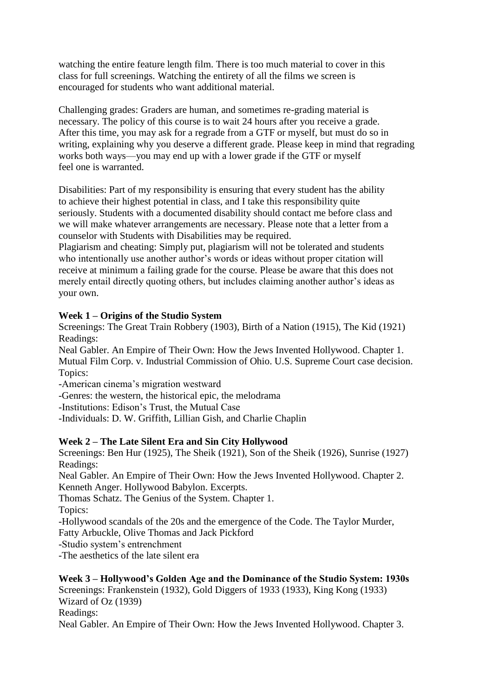watching the entire feature length film. There is too much material to cover in this class for full screenings. Watching the entirety of all the films we screen is encouraged for students who want additional material.

Challenging grades: Graders are human, and sometimes re-grading material is necessary. The policy of this course is to wait 24 hours after you receive a grade. After this time, you may ask for a regrade from a GTF or myself, but must do so in writing, explaining why you deserve a different grade. Please keep in mind that regrading works both ways—you may end up with a lower grade if the GTF or myself feel one is warranted.

Disabilities: Part of my responsibility is ensuring that every student has the ability to achieve their highest potential in class, and I take this responsibility quite seriously. Students with a documented disability should contact me before class and we will make whatever arrangements are necessary. Please note that a letter from a counselor with Students with Disabilities may be required.

Plagiarism and cheating: Simply put, plagiarism will not be tolerated and students who intentionally use another author's words or ideas without proper citation will receive at minimum a failing grade for the course. Please be aware that this does not merely entail directly quoting others, but includes claiming another author's ideas as your own.

# **Week 1 – Origins of the Studio System**

Screenings: The Great Train Robbery (1903), Birth of a Nation (1915), The Kid (1921) Readings:

Neal Gabler. An Empire of Their Own: How the Jews Invented Hollywood. Chapter 1. Mutual Film Corp. v. Industrial Commission of Ohio. U.S. Supreme Court case decision. Topics:

-American cinema's migration westward

-Genres: the western, the historical epic, the melodrama

-Institutions: Edison's Trust, the Mutual Case

-Individuals: D. W. Griffith, Lillian Gish, and Charlie Chaplin

# **Week 2 – The Late Silent Era and Sin City Hollywood**

Screenings: Ben Hur (1925), The Sheik (1921), Son of the Sheik (1926), Sunrise (1927) Readings:

Neal Gabler. An Empire of Their Own: How the Jews Invented Hollywood. Chapter 2. Kenneth Anger. Hollywood Babylon. Excerpts.

Thomas Schatz. The Genius of the System. Chapter 1.

Topics:

-Hollywood scandals of the 20s and the emergence of the Code. The Taylor Murder, Fatty Arbuckle, Olive Thomas and Jack Pickford

-Studio system's entrenchment

-The aesthetics of the late silent era

#### **Week 3 – Hollywood's Golden Age and the Dominance of the Studio System: 1930s** Screenings: Frankenstein (1932), Gold Diggers of 1933 (1933), King Kong (1933)

Wizard of Oz (1939)

Readings:

Neal Gabler. An Empire of Their Own: How the Jews Invented Hollywood. Chapter 3.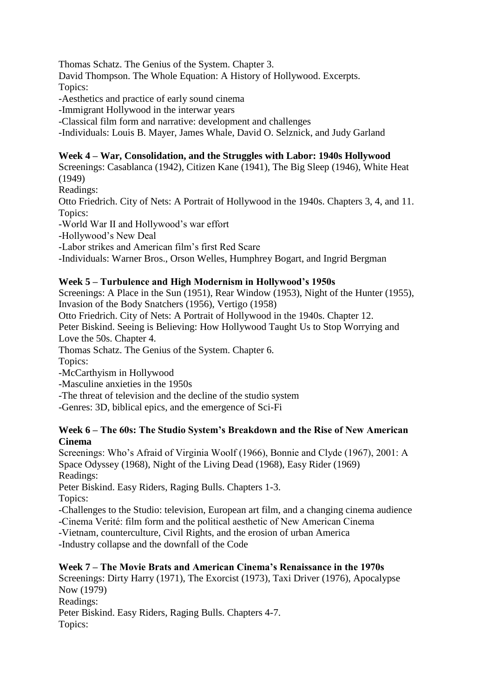Thomas Schatz. The Genius of the System. Chapter 3. David Thompson. The Whole Equation: A History of Hollywood. Excerpts. Topics: -Aesthetics and practice of early sound cinema

-Immigrant Hollywood in the interwar years

-Classical film form and narrative: development and challenges

-Individuals: Louis B. Mayer, James Whale, David O. Selznick, and Judy Garland

# **Week 4 – War, Consolidation, and the Struggles with Labor: 1940s Hollywood**

Screenings: Casablanca (1942), Citizen Kane (1941), The Big Sleep (1946), White Heat (1949)

Readings:

Otto Friedrich. City of Nets: A Portrait of Hollywood in the 1940s. Chapters 3, 4, and 11. Topics:

-World War II and Hollywood's war effort

-Hollywood's New Deal

-Labor strikes and American film's first Red Scare

-Individuals: Warner Bros., Orson Welles, Humphrey Bogart, and Ingrid Bergman

# **Week 5 – Turbulence and High Modernism in Hollywood's 1950s**

Screenings: A Place in the Sun (1951), Rear Window (1953), Night of the Hunter (1955), Invasion of the Body Snatchers (1956), Vertigo (1958)

Otto Friedrich. City of Nets: A Portrait of Hollywood in the 1940s. Chapter 12.

Peter Biskind. Seeing is Believing: How Hollywood Taught Us to Stop Worrying and Love the 50s. Chapter 4.

Thomas Schatz. The Genius of the System. Chapter 6.

Topics:

-McCarthyism in Hollywood

-Masculine anxieties in the 1950s

-The threat of television and the decline of the studio system

-Genres: 3D, biblical epics, and the emergence of Sci-Fi

### **Week 6 – The 60s: The Studio System's Breakdown and the Rise of New American Cinema**

Screenings: Who's Afraid of Virginia Woolf (1966), Bonnie and Clyde (1967), 2001: A Space Odyssey (1968), Night of the Living Dead (1968), Easy Rider (1969) Readings:

Peter Biskind. Easy Riders, Raging Bulls. Chapters 1-3.

Topics:

-Challenges to the Studio: television, European art film, and a changing cinema audience

-Cinema Verité: film form and the political aesthetic of New American Cinema

-Vietnam, counterculture, Civil Rights, and the erosion of urban America

-Industry collapse and the downfall of the Code

# **Week 7 – The Movie Brats and American Cinema's Renaissance in the 1970s**

Screenings: Dirty Harry (1971), The Exorcist (1973), Taxi Driver (1976), Apocalypse Now (1979) Readings: Peter Biskind. Easy Riders, Raging Bulls. Chapters 4-7. Topics: